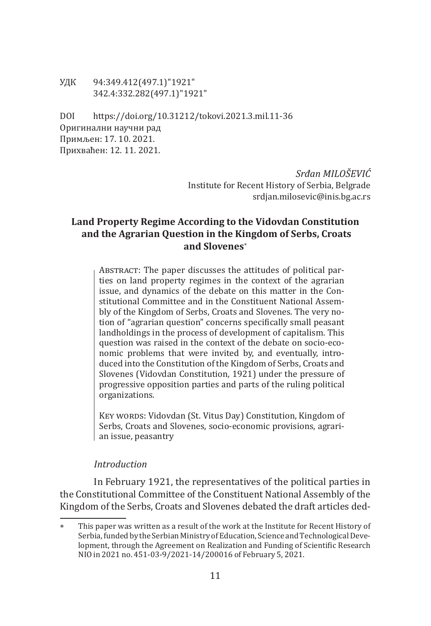УДК 94:349.412(497.1)"1921" 342.4:332.282(497.1)"1921"

DOI https://doi.org/10.31212/tokovi.2021.3.mil.11-36 Оригинални научни рад Примљен: 17. 10. 2021. Прихваћен: 12. 11. 2021.

> *Srđan MILOŠEVIĆ* Institute for Recent History of Serbia, Belgrade srdjan.milosevic@inis.bg.ac.rs

# **Land Property Regime According to the Vidovdan Constitution and the Agrarian Question in the Kingdom of Serbs, Croats and Slovenes**<sup>∗</sup>

ABSTRACT: The paper discusses the attitudes of political parties on land property regimes in the context of the agrarian issue, and dynamics of the debate on this matter in the Constitutional Committee and in the Constituent National Assembly of the Kingdom of Serbs, Croats and Slovenes. The very notion of "agrarian question" concerns specifically small peasant landholdings in the process of development of capitalism. This question was raised in the context of the debate on socio-economic problems that were invited by, and eventually, introduced into the Constitution of the Kingdom of Serbs, Croats and Slovenes (Vidovdan Constitution, 1921) under the pressure of progressive opposition parties and parts of the ruling political organizations.

KEY WORDS: Vidovdan (St. Vitus Day) Constitution, Kingdom of Serbs, Croats and Slovenes, socio-economic provisions, agrarian issue, peasantry

# *Introduction*

In February 1921, the representatives of the political parties in the Constitutional Committee of the Constituent National Assembly of the Kingdom of the Serbs, Croats and Slovenes debated the draft articles ded-

This paper was written as a result of the work at the Institute for Recent History of Serbia, funded by the Serbian Ministry of Education, Science and Technological Development, through the Agreement on Realization and Funding of Scientific Research NIO in 2021 no. 451-03-9/2021-14/200016 of February 5, 2021.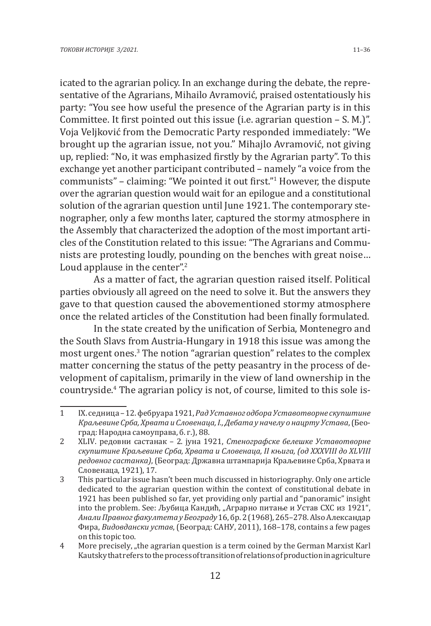icated to the agrarian policy. In an exchange during the debate, the representative of the Agrarians, Mihailo Avramović, praised ostentatiously his party: "You see how useful the presence of the Agrarian party is in this Committee. It first pointed out this issue (i.e. agrarian question – S. M.)". Voja Veljković from the Democratic Party responded immediately: "We brought up the agrarian issue, not you." Mihajlo Avramović, not giving up, replied: "No, it was emphasized firstly by the Agrarian party". To this exchange yet another participant contributed – namely "a voice from the communists" – claiming: "We pointed it out first."<sup>1</sup> However, the dispute over the agrarian question would wait for an epilogue and a constitutional solution of the agrarian question until June 1921. The contemporary stenographer, only a few months later, captured the stormy atmosphere in the Assembly that characterized the adoption of the most important articles of the Constitution related to this issue: "The Agrarians and Communists are protesting loudly, pounding on the benches with great noise… Loud applause in the center".<sup>2</sup>

As a matter of fact, the agrarian question raised itself. Political parties obviously all agreed on the need to solve it. But the answers they gave to that question caused the abovementioned stormy atmosphere once the related articles of the Constitution had been finally formulated.

In the state created by the unification of Serbia, Montenegro and the South Slavs from Austria-Hungary in 1918 this issue was among the most urgent ones.<sup>3</sup> The notion "agrarian question" relates to the complex matter concerning the status of the petty peasantry in the process of development of capitalism, primarily in the view of land ownership in the countryside.4 The agrarian policy is not, of course, limited to this sole is-

<sup>1</sup> IX. седница – 12. фебруара 1921, *Рад Уставног одбора Уставотворне скупштине Краљевине Срба, Хрвата и Словенаца, I., Дебата у начелу о нацрту Устава*, (Београд: Народна самоуправа, б. г.), 88.

<sup>2</sup> XLIV. редовни састанак – 2. јуна 1921, *Стенографске белешке Уставотворне скупштине Краљевине Срба, Хрвата и Словенаца, II књига, (од XXXVIII до XLVIII редовног састанка)*, (Београд: Државна штампарија Краљевине Срба, Хрвата и Словенаца, 1921), 17.

<sup>3</sup> This particular issue hasn't been much discussed in historiography. Only one article dedicated to the agrarian question within the context of constitutional debate in 1921 has been published so far, yet providing only partial and "panoramic" insight into the problem. See: Љубица Кандић, "Аграрно питање и Устав СХС из 1921", *Анали Правног факултета у Београду* 16, бр. 2 (1968), 265–278. Also Александар Фира, *Видовдански устав*, (Београд: САНУ, 2011), 168–178, contains a few pages on this topic too.

<sup>4</sup> More precisely, "the agrarian question is a term coined by the German Marxist Karl Kautsky that refers to the process of transition of relations of production in agriculture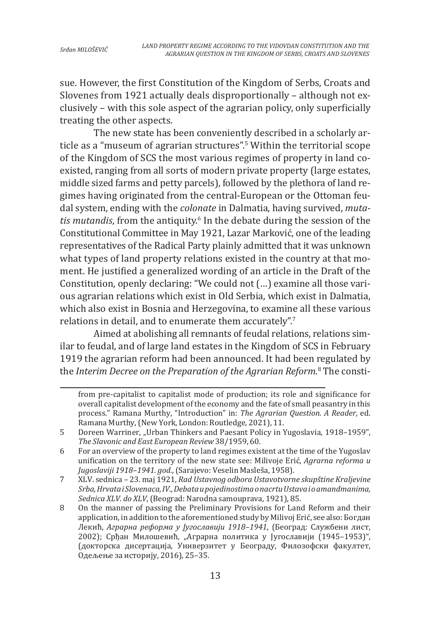sue. However, the first Constitution of the Kingdom of Serbs, Croats and Slovenes from 1921 actually deals disproportionally – although not exclusively – with this sole aspect of the agrarian policy, only superficially treating the other aspects.

The new state has been conveniently described in a scholarly article as a "museum of agrarian structures".5 Within the territorial scope of the Kingdom of SCS the most various regimes of property in land coexisted, ranging from all sorts of modern private property (large estates, middle sized farms and petty parcels), followed by the plethora of land regimes having originated from the central-European or the Ottoman feudal system, ending with the *colonate* in Dalmatia, having survived, *mutatis mutandis*, from the antiquity.6 In the debate during the session of the Constitutional Committee in May 1921, Lazar Marković, one of the leading representatives of the Radical Party plainly admitted that it was unknown what types of land property relations existed in the country at that moment. He justified a generalized wording of an article in the Draft of the Constitution, openly declaring: "We could not (…) examine all those various agrarian relations which exist in Old Serbia, which exist in Dalmatia, which also exist in Bosnia and Herzegovina, to examine all these various relations in detail, and to enumerate them accurately".<sup>7</sup>

Aimed at abolishing all remnants of feudal relations, relations similar to feudal, and of large land estates in the Kingdom of SCS in February 1919 the agrarian reform had been announced. It had been regulated by the *Interim Decree on the Preparation of the Agrarian Reform.*<sup>8</sup> The consti-

from pre-capitalist to capitalist mode of production; its role and significance for overall capitalist development of the economy and the fate of small peasantry in this process." Ramana Murthy, "Introduction" in: *The Agrarian Question. A Reader*, ed. Ramana Murthy, (New York, London: Routledge, 2021), 11.

<sup>5</sup> Dоreen Warriner, "Urban Thinkers and Paesant Policy in Yugoslavia, 1918–1959", *The Slavonic and East European Review* 38/1959, 60.

<sup>6</sup> For an overview of the property to land regimes existent at the time of the Yugoslav unification on the territory of the new state see: Milivoje Erić, *Agrarna reforma u Jugoslaviji 1918–1941. god.*, (Sarajevo: Veselin Masleša, 1958).

<sup>7</sup> XLV. sednica – 23. maj 1921, *Rad Ustavnog odbora Ustavotvorne skupštine Kraljevine Srba, Hrvata i Slovenaca, IV., Debata u pojedinostima o nacrtu Ustava i o amandmanima, Sednica XLV. do XLV*, (Beograd: Narodna samouprava, 1921), 85.

<sup>8</sup> On the manner of passing the Preliminary Provisions for Land Reform and their application, in addition to the aforementioned study by Milivoj Erić, see also: Богдан Лекић, *Аграрна реформа у Југославији 1918–1941*, (Београд: Службени лист, 2002); Срђан Милошевић, "Аграрна политика у Југославији (1945-1953)", (докторска дисертација, Универзитет у Београду, Филозофски факултет, Одељење за историју, 2016), 25–35.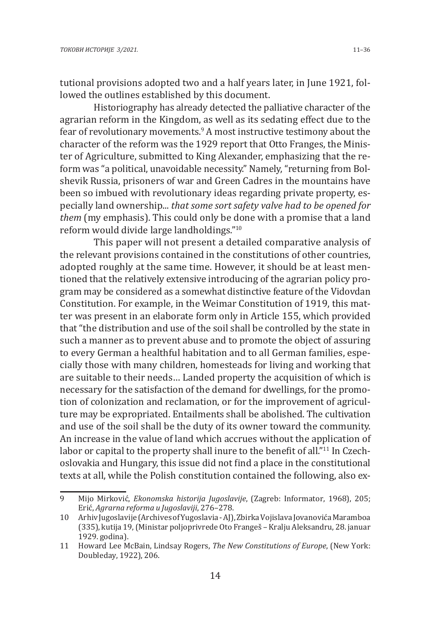tutional provisions adopted two and a half years later, in June 1921, followed the outlines established by this document.

Historiography has already detected the palliative character of the agrarian reform in the Kingdom, as well as its sedating effect due to the fear of revolutionary movements.<sup>9</sup> A most instructive testimony about the character of the reform was the 1929 report that Otto Franges, the Minister of Agriculture, submitted to King Alexander, emphasizing that the reform was "a political, unavoidable necessity." Namely, "returning from Bolshevik Russia, prisoners of war and Green Cadres in the mountains have been so imbued with revolutionary ideas regarding private property, especially land ownership... *that some sort safety valve had to be opened for them* (my emphasis). This could only be done with a promise that a land reform would divide large landholdings."<sup>10</sup>

This paper will not present a detailed comparative analysis of the relevant provisions contained in the constitutions of other countries, adopted roughly at the same time. However, it should be at least mentioned that the relatively extensive introducing of the agrarian policy program may be considered as a somewhat distinctive feature of the Vidovdan Constitution. For example, in the Weimar Constitution of 1919, this matter was present in an elaborate form only in Article 155, which provided that "the distribution and use of the soil shall be controlled by the state in such a manner as to prevent abuse and to promote the object of assuring to every German a healthful habitation and to all German families, especially those with many children, homesteads for living and working that are suitable to their needs… Landed property the acquisition of which is necessary for the satisfaction of the demand for dwellings, for the promotion of colonization and reclamation, or for the improvement of agriculture may be expropriated. Entailments shall be abolished. The cultivation and use of the soil shall be the duty of its owner toward the community. An increase in the value of land which accrues without the application of labor or capital to the property shall inure to the benefit of all."<sup>11</sup> In Czechoslovakia and Hungary, this issue did not find a place in the constitutional texts at all, while the Polish constitution contained the following, also ex-

<sup>9</sup> Mijo Mirković, *Ekonomska historija Jugoslavije*, (Zagreb: Informator, 1968), 205; Erić, *Agrarna reforma u Jugoslaviji*, 276–278.

<sup>10</sup> Arhiv Jugoslavije (Archives of Yugoslavia - AJ), Zbirka Vojislava Jovanovića Maramboa (335), kutija 19, (Ministar poljoprivrede Oto Frangeš – Kralju Aleksandru, 28. januar 1929. godina).

<sup>11</sup> Howard Lee McBain, Lindsay Rogers, *The New Constitutions of Europe*, (New York: Doubleday, 1922), 206.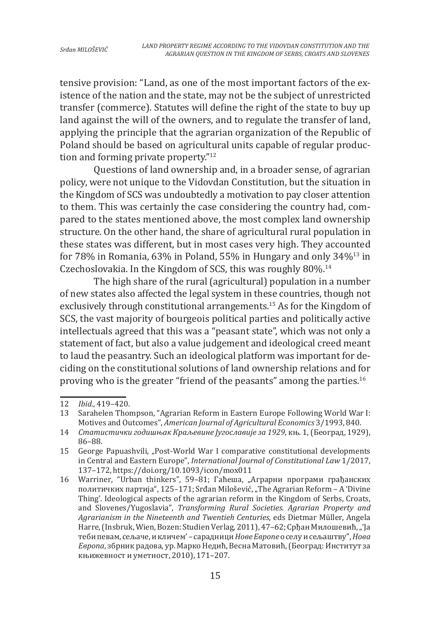tensive provision: "Land, as one of the most important factors of the existence of the nation and the state, may not be the subject of unrestricted transfer (commerce). Statutes will define the right of the state to buy up land against the will of the owners, and to regulate the transfer of land, applying the principle that the agrarian organization of the Republic of Poland should be based on agricultural units capable of regular production and forming private property."<sup>12</sup>

Questions of land ownership and, in a broader sense, of agrarian policy, were not unique to the Vidovdan Constitution, but the situation in the Kingdom of SCS was undoubtedly a motivation to pay closer attention to them. This was certainly the case considering the country had, compared to the states mentioned above, the most complex land ownership structure. On the other hand, the share of agricultural rural population in these states was different, but in most cases very high. They accounted for 78% in Romania, 63% in Poland, 55% in Hungary and only  $34\%^{13}$  in Czechoslovakia. In the Kingdom of SCS, this was roughly 80%.14

The high share of the rural (agricultural) population in a number of new states also affected the legal system in these countries, though not exclusively through constitutional arrangements.15 As for the Kingdom of SCS, the vast majority of bourgeois political parties and politically active intellectuals agreed that this was a "peasant state", which was not only a statement of fact, but also a value judgement and ideological creed meant to laud the peasantry. Such an ideological platform was important for deciding on the constitutional solutions of land ownership relations and for proving who is the greater "friend of the peasants" among the parties.<sup>16</sup>

<sup>12</sup> *Ibid.*, 419–420.

Sarahelen Thompson, "Agrarian Reform in Eastern Europe Following World War I: Motives and Outcomes", *American Journal of Agricultural Economics* 3/1993, 840.

<sup>14</sup> *Статистички годишњак Краљевине Југославије за 1929*, књ. 1, (Београд, 1929), 86–88.

<sup>15</sup> George Papuashvili, "Post-World War I comparative constitutional developments in Central and Eastern Europe", *International Journal of Constitutional Law* 1/2017, 137–172, https://doi.org/10.1093/icon/mox011

<sup>16</sup> Warriner, "Urban thinkers", 59-81; Гаћеша, "Аграрни програми грађанских политичких партија", 125–171; Srđan Milošević, "The Agrarian Reform – A 'Divine Thing'. Ideological aspects of the agrarian reform in the Kingdom of Serbs, Croats, and Slovenes/Yugoslavia", *Transforming Rural Societies. Agrarian Property and Agrarianism in the Nineteenth and Twentieh Centuries*, eds Dietmar Müller, Angela Harre, (Insbruk, Wien, Bozen: Studien Verlag, 2011), 47–62; Срђан Милошевић, "'Ја теби певам, сељаче, и кличем' – сарадници *Нове Европе* о селу и сељаштву", *Нова Европа*, збрник радова, ур. Марко Недић, Весна Матовић, (Београд: Институт за књижевност и уметност, 2010), 171–207.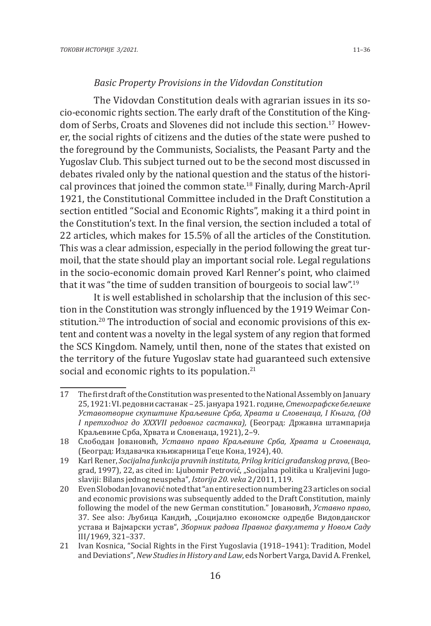#### *Basic Property Provisions in the Vidovdan Constitution*

The Vidovdan Constitution deals with agrarian issues in its socio-economic rights section. The early draft of the Constitution of the Kingdom of Serbs, Croats and Slovenes did not include this section.17 However, the social rights of citizens and the duties of the state were pushed to the foreground by the Communists, Socialists, the Peasant Party and the Yugoslav Club. This subject turned out to be the second most discussed in debates rivaled only by the national question and the status of the historical provinces that joined the common state.18 Finally, during March-April 1921, the Constitutional Committee included in the Draft Constitution a section entitled "Social and Economic Rights", making it a third point in the Constitution's text. In the final version, the section included a total of 22 articles, which makes for 15.5% of all the articles of the Constitution. This was a clear admission, especially in the period following the great turmoil, that the state should play an important social role. Legal regulations in the socio-economic domain proved Karl Renner's point, who claimed that it was "the time of sudden transition of bourgeois to social law".<sup>19</sup>

It is well established in scholarship that the inclusion of this section in the Constitution was strongly influenced by the 1919 Weimar Constitution.<sup>20</sup> The introduction of social and economic provisions of this extent and content was a novelty in the legal system of any region that formed the SCS Kingdom. Namely, until then, none of the states that existed on the territory of the future Yugoslav state had guaranteed such extensive social and economic rights to its population.<sup>21</sup>

<sup>17</sup> The first draft of the Constitution was presented to the National Assembly on January 25, 1921: VI. редовни састанак – 25. јануара 1921. године, *Стенографске белешке Уставотворне скупштине Краљевине Срба, Хрвата и Словенаца, I Књига, (Од I претходног до XXXVII редовног састанка),* (Београд: Државна штампарија Краљевине Срба, Хрвата и Словенаца, 1921), 2–9.

<sup>18</sup> Слободан Јовановић, *Уставно право Краљевине Срба, Хрвата и Словенаца*, (Београд: Издавачка књижарница Геце Кона, 1924), 40.

<sup>19</sup> Karl Rener, *Socijalna funkcija pravnih instituta, Prilog kritici građanskog prava*, (Beograd, 1997), 22, as cited in: Ljubomir Petrović, "Socijalna politika u Kraljevini Jugoslaviji: Bilans jednog neuspeha", *Istorija 20. veka* 2/2011, 119.

<sup>20</sup> Even Slobodan Jovanović noted that "an entire section numbering 23 articles on social and economic provisions was subsequently added to the Draft Constitution, mainly following the model of the new German constitution." Јовановић, *Уставно право*, 37. See also: Љубица Кандић, "Социјално економске одредбе Видовданског устава и Вајмарски устав", *Зборник радова Правног факултета у Новом Саду* III/1969, 321–337.

<sup>21</sup> Ivan Kosnica, "Social Rights in the First Yugoslavia (1918–1941): Tradition, Model and Deviations", *New Studies in History and Law*, eds Norbert Varga, David A. Frenkel,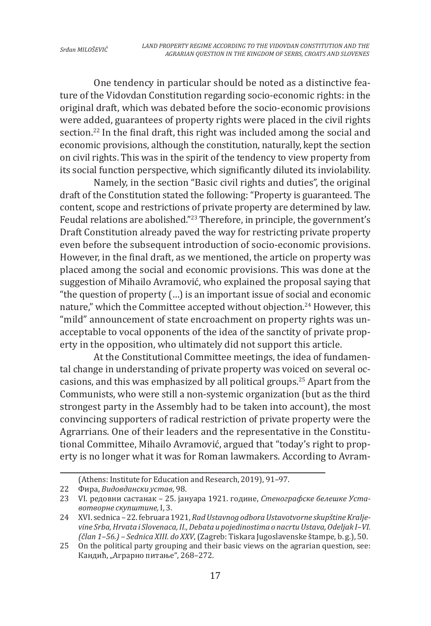One tendency in particular should be noted as a distinctive feature of the Vidovdan Constitution regarding socio-economic rights: in the original draft, which was debated before the socio-economic provisions were added, guarantees of property rights were placed in the civil rights section.<sup>22</sup> In the final draft, this right was included among the social and economic provisions, although the constitution, naturally, kept the section on civil rights. This was in the spirit of the tendency to view property from its social function perspective, which significantly diluted its inviolability.

Namely, in the section "Basic civil rights and duties", the original draft of the Constitution stated the following: "Property is guaranteed. The content, scope and restrictions of private property are determined by law. Feudal relations are abolished."<sup>23</sup> Therefore, in principle, the government's Draft Constitution already paved the way for restricting private property even before the subsequent introduction of socio-economic provisions. However, in the final draft, as we mentioned, the article on property was placed among the social and economic provisions. This was done at the suggestion of Mihailo Avramović, who explained the proposal saying that "the question of property (…) is an important issue of social and economic nature," which the Committee accepted without objection.<sup>24</sup> However, this "mild" announcement of state encroachment on property rights was unacceptable to vocal opponents of the idea of the sanctity of private property in the opposition, who ultimately did not support this article.

At the Constitutional Committee meetings, the idea of fundamental change in understanding of private property was voiced on several occasions, and this was emphasized by all political groups.25 Apart from the Communists, who were still a non-systemic organization (but as the third strongest party in the Assembly had to be taken into account), the most convincing supporters of radical restriction of private property were the Agrarrians. One of their leaders and the representative in the Constitutional Committee, Mihailo Avramović, argued that "today's right to property is no longer what it was for Roman lawmakers. According to Avram-

<sup>(</sup>Athens: Institute for Education and Research, 2019), 91–97.

<sup>22</sup> Фира, *Видовдански устав*, 98.

<sup>23</sup> VI. редовни састанак – 25. јануара 1921. године, *Стенографске белешке Уставотворне скупштине,* I, 3.

<sup>24</sup> XVI. sednica – 22. februara 1921, *Rad Ustavnog odbora Ustavotvorne skupštine Kraljevine Srba, Hrvata i Slovenaca, II., Debata u pojedinostima o nacrtu Ustava, Odeljak I–VI. (član 1–56.) – Sednica XIII. do XXV*, (Zagreb: Tiskara Jugoslavenske štampe, b. g.), 50.

<sup>25</sup> On the political party grouping and their basic views on the agrarian question, see: Кандић, "Аграрно питање", 268–272.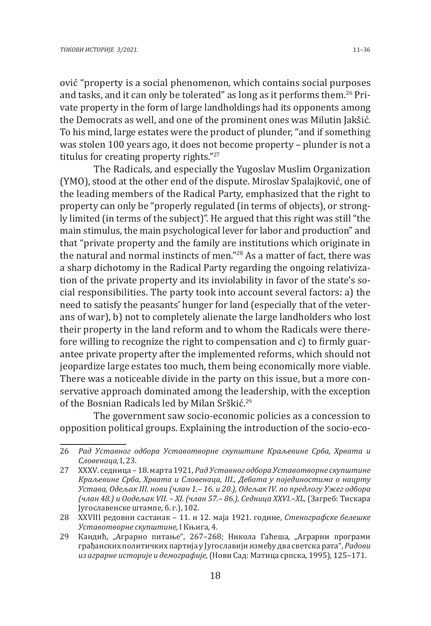ović "property is a social phenomenon, which contains social purposes and tasks, and it can only be tolerated" as long as it performs them.26 Private property in the form of large landholdings had its opponents among the Democrats as well, and one of the prominent ones was Milutin Jakšić. To his mind, large estates were the product of plunder, "and if something was stolen 100 years ago, it does not become property – plunder is not a titulus for creating property rights."<sup>27</sup>

The Radicals, and especially the Yugoslav Muslim Organization (YMO), stood at the other end of the dispute. Miroslav Spalajković, one of the leading members of the Radical Party, emphasized that the right to property can only be "properly regulated (in terms of objects), or strongly limited (in terms of the subject)". He argued that this right was still "the main stimulus, the main psychological lever for labor and production" and that "private property and the family are institutions which originate in the natural and normal instincts of men."28 As a matter of fact, there was a sharp dichotomy in the Radical Party regarding the ongoing relativization of the private property and its inviolability in favor of the state's social responsibilities. The party took into account several factors: a) the need to satisfy the peasants' hunger for land (especially that of the veterans of war), b) not to completely alienate the large landholders who lost their property in the land reform and to whom the Radicals were therefore willing to recognize the right to compensation and c) to firmly guarantee private property after the implemented reforms, which should not jeopardize large estates too much, them being economically more viable. There was a noticeable divide in the party on this issue, but a more conservative approach dominated among the leadership, with the exception of the Bosnian Radicals led by Milan Srškić.<sup>29</sup>

The government saw socio-economic policies as a concession to opposition political groups. Explaining the introduction of the socio-eco-

<sup>26</sup> *Рад Уставног одбора Уставотворне скупштине Краљевине Срба, Хрвата и Словенаца,* I, 23.

<sup>27</sup> XXXV. седница – 18. марта 1921, *Рад Уставног одбора Уставотворне скупштине Краљевине Срба, Хрвата и Словенаца, III., Дебата у појединостима о нацрту Устава, Одељак III. нови (члан 1.– 16. и 20.), Одељак IV. по предлогу Ужег одбора (члан 48.) и Оодељак VII. – XI. (члан 57.– 86.), Седница XXVI.–XL,* (Загреб: Тискара Југославенске штампе, б. г.), 102.

<sup>28</sup> XXVIII редовни састанак – 11. и 12. маја 1921. године, *Стенографске белешке Уставотворне скупштине,* I Књига, 4.

<sup>29</sup> Кандић, "Аграрно питање", 267-268; Никола Гаћеша, "Аграрни програми грађанских политичких партија у Југославији између два светска рата", *Радови из аграрне историје и демографије*, (Нови Сад: Матица српска, 1995), 125–171.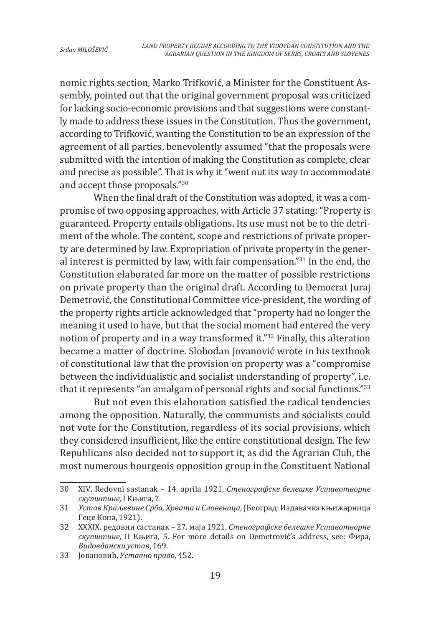nomic rights section, Marko Trifković, a Minister for the Constituent Assembly, pointed out that the original government proposal was criticized for lacking socio-economic provisions and that suggestions were constantly made to address these issues in the Constitution. Thus the government, according to Trifković, wanting the Constitution to be an expression of the agreement of all parties, benevolently assumed "that the proposals were submitted with the intention of making the Constitution as complete, clear and precise as possible". That is why it "went out its way to accommodate and accept those proposals."<sup>30</sup>

When the final draft of the Constitution was adopted, it was a compromise of two opposing approaches, with Article 37 stating: "Property is guaranteed. Property entails obligations. Its use must not be to the detriment of the whole. The content, scope and restrictions of private property are determined by law. Expropriation of private property in the general interest is permitted by law, with fair compensation."<sup>31</sup> In the end, the Constitution elaborated far more on the matter of possible restrictions on private property than the original draft. According to Democrat Juraj Demetrović, the Constitutional Committee vice-president, the wording of the property rights article acknowledged that "property had no longer the meaning it used to have, but that the social moment had entered the very notion of property and in a way transformed it."<sup>32</sup> Finally, this alteration became a matter of doctrine. Slobodan Jovanović wrote in his textbook of constitutional law that the provision on property was a "compromise between the individualistic and socialist understanding of property", i.e. that it represents "an amalgam of personal rights and social functions."<sup>33</sup>

But not even this elaboration satisfied the radical tendencies among the opposition. Naturally, the communists and socialists could not vote for the Constitution, regardless of its social provisions, which they considered insufficient, like the entire constitutional design. The few Republicans also decided not to support it, as did the Agrarian Club, the most numerous bourgeois opposition group in the Constituent National

<sup>30</sup> XIV. Redovni sastanak – 14. aprila 1921, *Стенографске белешке Уставотворне скупштине,* I Књига, 7.

<sup>31</sup> *Устав Краљевине Срба, Хрвата и Словенаца*, (Београд: Издавачка књижарница Геце Кона, 1921).

<sup>32</sup> XXXIX. редовни састанак – 27. маја 1921, *Стенографске белешке Уставотворне скупштине,* II Књига, 5. For more details on Demetrović's address, see: Фира, *Видовдански устав*, 169.

<sup>33</sup> Јовановић, *Уставно право*, 452.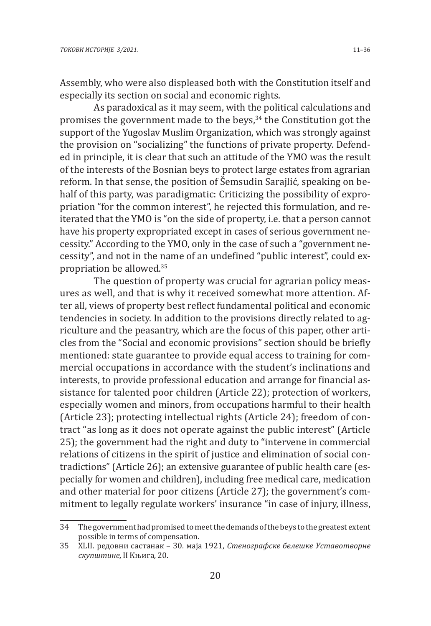Assembly, who were also displeased both with the Constitution itself and especially its section on social and economic rights.

As paradoxical as it may seem, with the political calculations and promises the government made to the beys,<sup>34</sup> the Constitution got the support of the Yugoslav Muslim Organization, which was strongly against the provision on "socializing" the functions of private property. Defended in principle, it is clear that such an attitude of the YMO was the result of the interests of the Bosnian beys to protect large estates from agrarian reform. In that sense, the position of Šemsudin Sarajlić, speaking on behalf of this party, was paradigmatic: Criticizing the possibility of expropriation "for the common interest", he rejected this formulation, and reiterated that the YMO is "on the side of property, i.e. that a person cannot have his property expropriated except in cases of serious government necessity." According to the YMO, only in the case of such a "government necessity", and not in the name of an undefined "public interest", could expropriation be allowed.35

The question of property was crucial for agrarian policy measures as well, and that is why it received somewhat more attention. After all, views of property best reflect fundamental political and economic tendencies in society. In addition to the provisions directly related to agriculture and the peasantry, which are the focus of this paper, other articles from the "Social and economic provisions" section should be briefly mentioned: state guarantee to provide equal access to training for commercial occupations in accordance with the student's inclinations and interests, to provide professional education and arrange for financial assistance for talented poor children (Article 22); protection of workers, especially women and minors, from occupations harmful to their health (Article 23); protecting intellectual rights (Article 24); freedom of contract "as long as it does not operate against the public interest" (Article 25); the government had the right and duty to "intervene in commercial relations of citizens in the spirit of justice and elimination of social contradictions" (Article 26); an extensive guarantee of public health care (especially for women and children), including free medical care, medication and other material for poor citizens (Article 27); the government's commitment to legally regulate workers' insurance "in case of injury, illness,

<sup>34</sup> The government had promised to meet the demands of the beys to the greatest extent possible in terms of compensation.

<sup>35</sup> XLII. редовни састанак – 30. маја 1921, *Стенографске белешке Уставотворне скупштине,* II Књига*,* 20.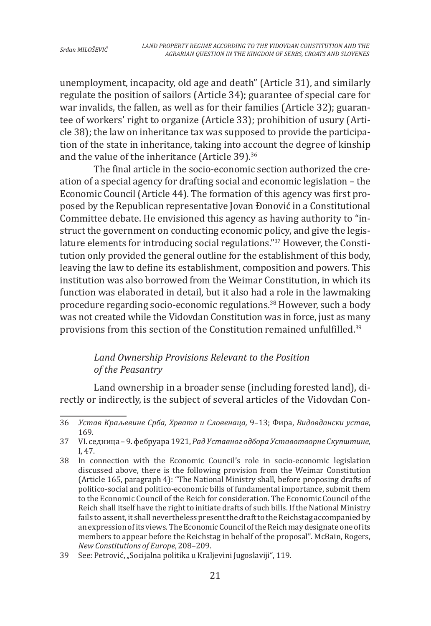unemployment, incapacity, old age and death" (Article 31), and similarly regulate the position of sailors (Article 34); guarantee of special care for war invalids, the fallen, as well as for their families (Article 32); guarantee of workers' right to organize (Article 33); prohibition of usury (Article 38); the law on inheritance tax was supposed to provide the participation of the state in inheritance, taking into account the degree of kinship and the value of the inheritance (Article 39).<sup>36</sup>

The final article in the socio-economic section authorized the creation of a special agency for drafting social and economic legislation – the Economic Council (Article 44). The formation of this agency was first proposed by the Republican representative Jovan Đonović in a Constitutional Committee debate. He envisioned this agency as having authority to "instruct the government on conducting economic policy, and give the legislature elements for introducing social regulations."<sup>37</sup> However, the Constitution only provided the general outline for the establishment of this body, leaving the law to define its establishment, composition and powers. This institution was also borrowed from the Weimar Constitution, in which its function was elaborated in detail, but it also had a role in the lawmaking procedure regarding socio-economic regulations.38 However, such a body was not created while the Vidovdan Constitution was in force, just as many provisions from this section of the Constitution remained unfulfilled.<sup>39</sup>

# *Land Ownership Provisions Relevant to the Position of the Peasantry*

Land ownership in a broader sense (including forested land), directly or indirectly, is the subject of several articles of the Vidovdan Con-

<sup>36</sup> *Устав Краљевине Срба, Хрвата и Словенаца,* 9–13; Фира, *Видовдански устав*, 169.

<sup>37</sup> VI. седница – 9. фебруара 1921, *Рaд Уставног одбора Уставотворне Скупштине,*  I, 47.

<sup>38</sup> In connection with the Economic Council's role in socio-economic legislation discussed above, there is the following provision from the Weimar Constitution (Article 165, paragraph 4): "The National Ministry shall, before proposing drafts of politico-social and politico-economic bills of fundamental importance, submit them to the Economic Council of the Reich for consideration. The Economic Council of the Reich shall itself have the right to initiate drafts of such bills. If the National Ministry fails to assent, it shall nevertheless present the draft to the Reichstag accompanied by an expression of its views. The Economic Council of the Reich may designate one of its members to appear before the Reichstag in behalf of the proposal". McBain, Rogers, *New Constitutions of Europe*, 208–209.

<sup>39</sup> See: Petrović, "Socijalna politika u Kraljevini Jugoslaviji", 119.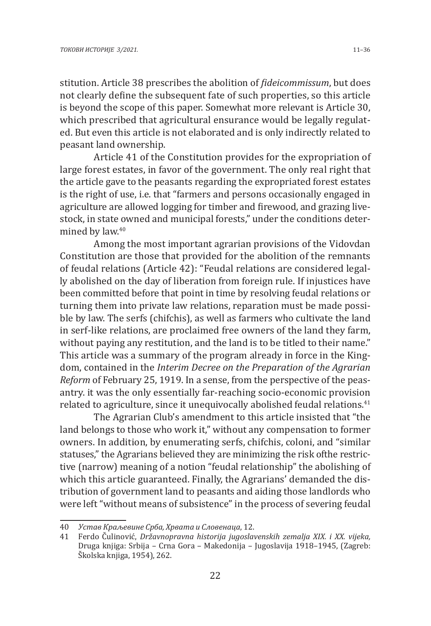stitution. Article 38 prescribes the abolition of *fideicommissum*, but does not clearly define the subsequent fate of such properties, so this article is beyond the scope of this paper. Somewhat more relevant is Article 30, which prescribed that agricultural ensurance would be legally regulated. But even this article is not elaborated and is only indirectly related to peasant land ownership.

Article 41 of the Constitution provides for the expropriation of large forest estates, in favor of the government. The only real right that the article gave to the peasants regarding the expropriated forest estates is the right of use, i.e. that "farmers and persons occasionally engaged in agriculture are allowed logging for timber and firewood, and grazing livestock, in state owned and municipal forests," under the conditions determined by law.<sup>40</sup>

Among the most important agrarian provisions of the Vidovdan Constitution are those that provided for the abolition of the remnants of feudal relations (Article 42): "Feudal relations are considered legally abolished on the day of liberation from foreign rule. If injustices have been committed before that point in time by resolving feudal relations or turning them into private law relations, reparation must be made possible by law. The serfs (chifchis), as well as farmers who cultivate the land in serf-like relations, are proclaimed free owners of the land they farm, without paying any restitution, and the land is to be titled to their name." This article was a summary of the program already in force in the Kingdom, contained in the *Interim Decree on the Preparation of the Agrarian Reform* of February 25, 1919. In a sense, from the perspective of the peasantry. it was the only essentially far-reaching socio-economic provision related to agriculture, since it unequivocally abolished feudal relations.<sup>41</sup>

The Agrarian Club's amendment to this article insisted that "the land belongs to those who work it," without any compensation to former owners. In addition, by enumerating serfs, chifchis, coloni, and "similar statuses," the Agrarians believed they are minimizing the risk ofthe restrictive (narrow) meaning of a notion "feudal relationship" the abolishing of which this article guaranteed. Finally, the Agrarians' demanded the distribution of government land to peasants and aiding those landlords who were left "without means of subsistence" in the process of severing feudal

<sup>40</sup> *Устав Краљевине Срба, Хрвата и Словенаца*, 12.

<sup>41</sup> Ferdo Čulinović, *Državnopravna historija jugoslavenskih zemalja XIX. i XX. vijeka,*  Druga knjiga: Srbija – Crna Gora – Makedonija – Jugoslavija 1918–1945, (Zagreb: Školska knjiga, 1954), 262.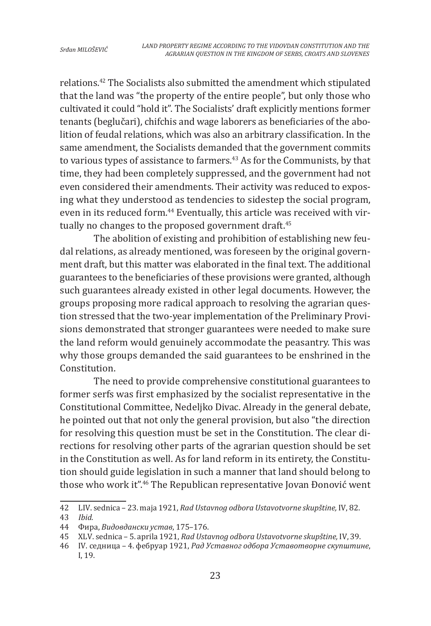relations.42 The Socialists also submitted the amendment which stipulated that the land was "the property of the entire people", but only those who cultivated it could "hold it". The Socialists' draft explicitly mentions former tenants (beglučari), chifchis and wage laborers as beneficiaries of the abolition of feudal relations, which was also an arbitrary classification. In the same amendment, the Socialists demanded that the government commits to various types of assistance to farmers.<sup>43</sup> As for the Communists, by that time, they had been completely suppressed, and the government had not even considered their amendments. Their activity was reduced to exposing what they understood as tendencies to sidestep the social program, even in its reduced form.<sup>44</sup> Eventually, this article was received with virtually no changes to the proposed government draft.<sup>45</sup>

The abolition of existing and prohibition of establishing new feudal relations, as already mentioned, was foreseen by the original government draft, but this matter was elaborated in the final text. The additional guarantees to the beneficiaries of these provisions were granted, although such guarantees already existed in other legal documents. However, the groups proposing more radical approach to resolving the agrarian question stressed that the two-year implementation of the Preliminary Provisions demonstrated that stronger guarantees were needed to make sure the land reform would genuinely accommodate the peasantry. This was why those groups demanded the said guarantees to be enshrined in the Constitution.

The need to provide comprehensive constitutional guarantees to former serfs was first emphasized by the socialist representative in the Constitutional Committee, Nedeljko Divac. Already in the general debate, he pointed out that not only the general provision, but also "the direction for resolving this question must be set in the Constitution. The clear directions for resolving other parts of the agrarian question should be set in the Constitution as well. As for land reform in its entirety, the Constitution should guide legislation in such a manner that land should belong to those who work it".46 The Republican representative Jovan Đonović went

<sup>42</sup> LIV. sednica – 23. maja 1921, *Rad Ustavnog odbora Ustavotvorne skupštine,* IV, 82.

<sup>43</sup> *Ibid.*

<sup>44</sup> Фира, *Видовдански устав*, 175–176.

<sup>45</sup> XLV. sednica – 5. aprila 1921, *Rad Ustavnog odbora Ustavotvorne skupštine,* IV, 39.

<sup>46</sup> IV. седница – 4. фебруар 1921, *Рад Уставног одбора Уставотворне скупштине*, I, 19.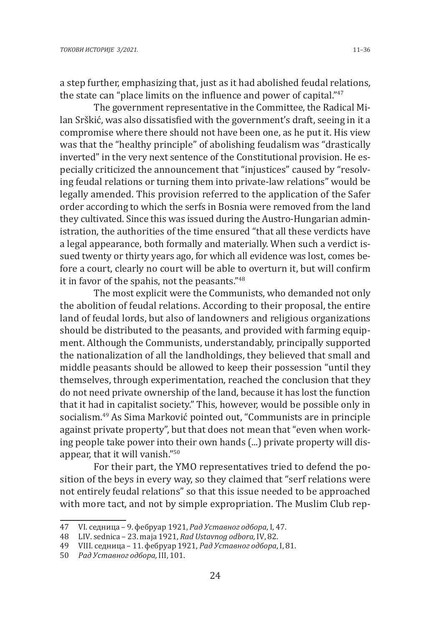a step further, emphasizing that, just as it had abolished feudal relations, the state can "place limits on the influence and power of capital."<sup>47</sup>

The government representative in the Committee, the Radical Milan Srškić, was also dissatisfied with the government's draft, seeing in it a compromise where there should not have been one, as he put it. His view was that the "healthy principle" of abolishing feudalism was "drastically inverted" in the very next sentence of the Constitutional provision. He especially criticized the announcement that "injustices" caused by "resolving feudal relations or turning them into private-law relations" would be legally amended. This provision referred to the application of the Safer order according to which the serfs in Bosnia were removed from the land they cultivated. Since this was issued during the Austro-Hungarian administration, the authorities of the time ensured "that all these verdicts have a legal appearance, both formally and materially. When such a verdict issued twenty or thirty years ago, for which all evidence was lost, comes before a court, clearly no court will be able to overturn it, but will confirm it in favor of the spahis, not the peasants."<sup>48</sup>

The most explicit were the Communists, who demanded not only the abolition of feudal relations. According to their proposal, the entire land of feudal lords, but also of landowners and religious organizations should be distributed to the peasants, and provided with farming equipment. Although the Communists, understandably, principally supported the nationalization of all the landholdings, they believed that small and middle peasants should be allowed to keep their possession "until they themselves, through experimentation, reached the conclusion that they do not need private ownership of the land, because it has lost the function that it had in capitalist society." This, however, would be possible only in socialism.49 As Sima Marković pointed out, "Communists are in principle against private property", but that does not mean that "even when working people take power into their own hands (...) private property will disappear, that it will vanish."<sup>50</sup>

For their part, the YMO representatives tried to defend the position of the beys in every way, so they claimed that "serf relations were not entirely feudal relations" so that this issue needed to be approached with more tact, and not by simple expropriation. The Muslim Club rep-

<sup>47</sup> VI. седница – 9. фебруар 1921, *Рад Уставног одбора*, I, 47.

<sup>48</sup> LIV. sednica – 23. maja 1921, *Rad Ustavnog odbora,* IV, 82.

<sup>49</sup> VIII. седница – 11. фебруар 1921, *Рад Уставног одбора*, I, 81.

<sup>50</sup> *Рад Уставног одбора,* III, 101.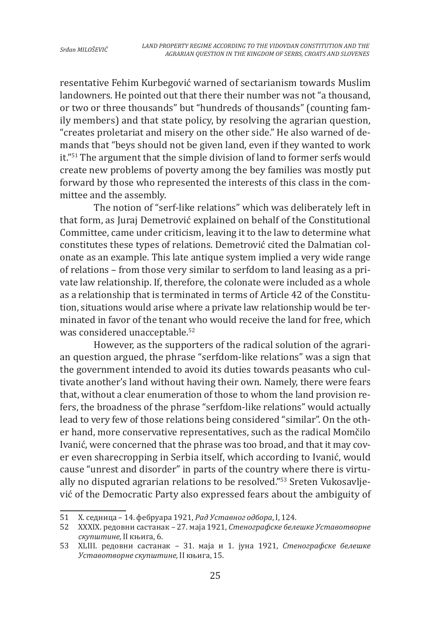resentative Fehim Kurbegović warned of sectarianism towards Muslim landowners. He pointed out that there their number was not "a thousand, or two or three thousands" but "hundreds of thousands" (counting family members) and that state policy, by resolving the agrarian question, "creates proletariat and misery on the other side." He also warned of demands that "beys should not be given land, even if they wanted to work it."51 The argument that the simple division of land to former serfs would create new problems of poverty among the bey families was mostly put forward by those who represented the interests of this class in the committee and the assembly.

The notion of "serf-like relations" which was deliberately left in that form, as Juraj Demetrović explained on behalf of the Constitutional Committee, came under criticism, leaving it to the law to determine what constitutes these types of relations. Demetrović cited the Dalmatian colonate as an example. This late antique system implied a very wide range of relations – from those very similar to serfdom to land leasing as a private law relationship. If, therefore, the colonate were included as a whole as a relationship that is terminated in terms of Article 42 of the Constitution, situations would arise where a private law relationship would be terminated in favor of the tenant who would receive the land for free, which was considered unacceptable.<sup>52</sup>

However, as the supporters of the radical solution of the agrarian question argued, the phrase "serfdom-like relations" was a sign that the government intended to avoid its duties towards peasants who cultivate another's land without having their own. Namely, there were fears that, without a clear enumeration of those to whom the land provision refers, the broadness of the phrase "serfdom-like relations" would actually lead to very few of those relations being considered "similar". On the other hand, more conservative representatives, such as the radical Momčilo Ivanić, were concerned that the phrase was too broad, and that it may cover even sharecropping in Serbia itself, which according to Ivanić, would cause "unrest and disorder" in parts of the country where there is virtually no disputed agrarian relations to be resolved."53 Sreten Vukosavljević of the Democratic Party also expressed fears about the ambiguity of

<sup>51</sup> X. седница – 14. фебруара 1921, *Рaд Уставног одбора*, I, 124.

<sup>52</sup> XXXIX. редовни састанак – 27. маја 1921, *Стенографске белешке Уставотворне скупштине,* II књига, 6.

<sup>53</sup> XLIII. редовни састанак – 31. маја и 1. јуна 1921, *Стенографске белешке Уставотворне скупштине,* II књига, 15.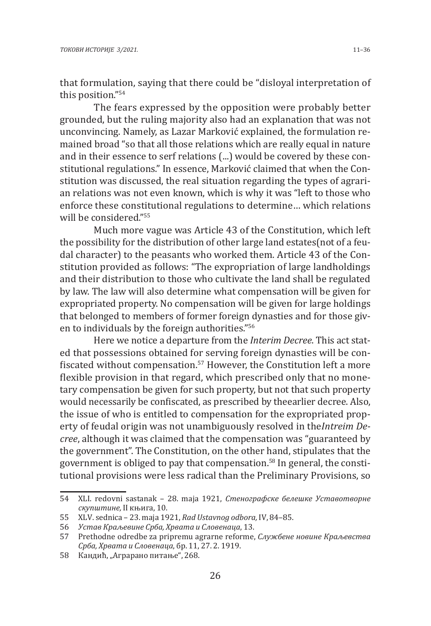that formulation, saying that there could be "disloyal interpretation of this position."<sup>54</sup>

The fears expressed by the opposition were probably better grounded, but the ruling majority also had an explanation that was not unconvincing. Namely, as Lazar Marković explained, the formulation remained broad "so that all those relations which are really equal in nature and in their essence to serf relations (...) would be covered by these constitutional regulations." In essence, Marković claimed that when the Constitution was discussed, the real situation regarding the types of agrarian relations was not even known, which is why it was "left to those who enforce these constitutional regulations to determine… which relations will be considered."<sup>55</sup>

Much more vague was Article 43 of the Constitution, which left the possibility for the distribution of other large land estates(not of a feudal character) to the peasants who worked them. Article 43 of the Constitution provided as follows: "The expropriation of large landholdings and their distribution to those who cultivate the land shall be regulated by law. The law will also determine what compensation will be given for expropriated property. No compensation will be given for large holdings that belonged to members of former foreign dynasties and for those given to individuals by the foreign authorities."<sup>56</sup>

Here we notice a departure from the *Interim Decree*. This act stated that possessions obtained for serving foreign dynasties will be confiscated without compensation.<sup>57</sup> However, the Constitution left a more flexible provision in that regard, which prescribed only that no monetary compensation be given for such property, but not that such property would necessarily be confiscated, as prescribed by theearlier decree. Also, the issue of who is entitled to compensation for the expropriated property of feudal origin was not unambiguously resolved in the*Intreim Decree*, although it was claimed that the compensation was "guaranteed by the government". The Constitution, on the other hand, stipulates that the government is obliged to pay that compensation.58 In general, the constitutional provisions were less radical than the Preliminary Provisions, so

<sup>54</sup> XLI. redovni sastanak – 28. maja 1921, *Стенографске белешке Уставотворне скупштине,* II књига, 10.

<sup>55</sup> XLV. sednica – 23. maja 1921, *Rad Ustavnog odbora,* IV, 84–85.

<sup>56</sup> *Устав Краљевине Срба, Хрвата и Словенаца*, 13.

<sup>57</sup> Prethodne odredbe za pripremu agrarne reforme, *Службене новине Краљевства Срба, Хрвата и Словенаца*, бр. 11, 27. 2. 1919.

<sup>58</sup> Кандић, "Аграрано питање", 268.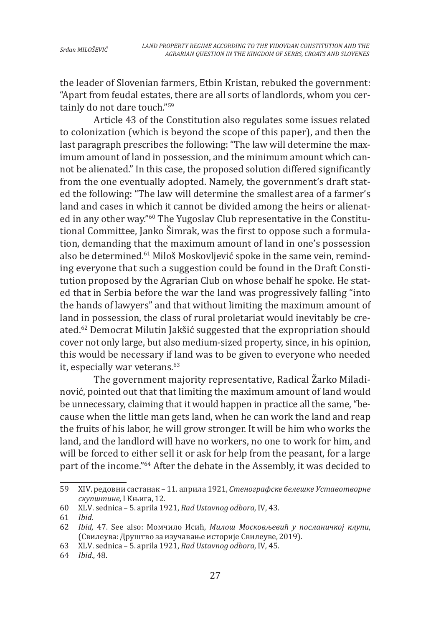the leader of Slovenian farmers, Etbin Kristan, rebuked the government: "Apart from feudal estates, there are all sorts of landlords, whom you certainly do not dare touch."<sup>59</sup>

Article 43 of the Constitution also regulates some issues related to colonization (which is beyond the scope of this paper), and then the last paragraph prescribes the following: "The law will determine the maximum amount of land in possession, and the minimum amount which cannot be alienated." In this case, the proposed solution differed significantly from the one eventually adopted. Namely, the government's draft stated the following: "The law will determine the smallest area of a farmer's land and cases in which it cannot be divided among the heirs or alienated in any other way."60 The Yugoslav Club representative in the Constitutional Committee, Janko Šimrak, was the first to oppose such a formulation, demanding that the maximum amount of land in one's possession also be determined.61 Miloš Moskovljević spoke in the same vein, reminding everyone that such a suggestion could be found in the Draft Constitution proposed by the Agrarian Club on whose behalf he spoke. He stated that in Serbia before the war the land was progressively falling "into the hands of lawyers" and that without limiting the maximum amount of land in possession, the class of rural proletariat would inevitably be created.62 Democrat Milutin Jakšić suggested that the expropriation should cover not only large, but also medium-sized property, since, in his opinion, this would be necessary if land was to be given to everyone who needed it, especially war veterans.<sup>63</sup>

The government majority representative, Radical Žarko Miladinović, pointed out that that limiting the maximum amount of land would be unnecessary, claiming that it would happen in practice all the same, "because when the little man gets land, when he can work the land and reap the fruits of his labor, he will grow stronger. It will be him who works the land, and the landlord will have no workers, no one to work for him, and will be forced to either sell it or ask for help from the peasant, for a large part of the income."64 After the debate in the Assembly, it was decided to

<sup>59</sup> XIV. редовни састанак – 11. априла 1921, *Стенографске белешке Уставотворне скупштине,* I Књига, 12.

<sup>60</sup> XLV. sednica – 5. aprila 1921, *Rad Ustavnog odbora,* IV, 43.

<sup>61</sup> *Ibid.*

<sup>62</sup> *Ibid*, 47. See also: Момчило Исић, *Милош Московљевић у посланичкој клупи*, (Свилеува: Друштво за изучавање историје Свилеуве, 2019).

<sup>63</sup> XLV. sednica – 5. aprila 1921, *Rad Ustavnog odbora,* IV*,* 45.

<sup>64</sup> *Ibid.*, 48.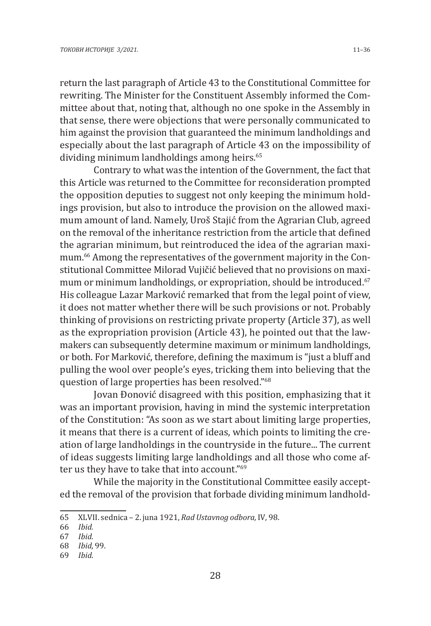return the last paragraph of Article 43 to the Constitutional Committee for rewriting. The Minister for the Constituent Assembly informed the Committee about that, noting that, although no one spoke in the Assembly in that sense, there were objections that were personally communicated to him against the provision that guaranteed the minimum landholdings and especially about the last paragraph of Article 43 on the impossibility of dividing minimum landholdings among heirs.<sup>65</sup>

Contrary to what was the intention of the Government, the fact that this Article was returned to the Committee for reconsideration prompted the opposition deputies to suggest not only keeping the minimum holdings provision, but also to introduce the provision on the allowed maximum amount of land. Namely, Uroš Stajić from the Agrarian Club, agreed on the removal of the inheritance restriction from the article that defined the agrarian minimum, but reintroduced the idea of the agrarian maximum.66 Among the representatives of the government majority in the Constitutional Committee Milorad Vujičić believed that no provisions on maximum or minimum landholdings, or expropriation, should be introduced.<sup>67</sup> His colleague Lazar Marković remarked that from the legal point of view, it does not matter whether there will be such provisions or not. Probably thinking of provisions on restricting private property (Article 37), as well as the expropriation provision (Article 43), he pointed out that the lawmakers can subsequently determine maximum or minimum landholdings, or both. For Marković, therefore, defining the maximum is "just a bluff and pulling the wool over people's eyes, tricking them into believing that the question of large properties has been resolved."<sup>68</sup>

Jovan Đonović disagreed with this position, emphasizing that it was an important provision, having in mind the systemic interpretation of the Constitution: "As soon as we start about limiting large properties, it means that there is a current of ideas, which points to limiting the creation of large landholdings in the countryside in the future... The current of ideas suggests limiting large landholdings and all those who come after us they have to take that into account."<sup>69</sup>

While the majority in the Constitutional Committee easily accepted the removal of the provision that forbade dividing minimum landhold-

<sup>65</sup> XLVII. sednica – 2. juna 1921, *Rad Ustavnog odbora,* IV*,* 98.

<sup>66</sup> *Ibid.*

<sup>67</sup> *Ibid.*

<sup>68</sup> *Ibid*, 99.

<sup>69</sup> *Ibid*.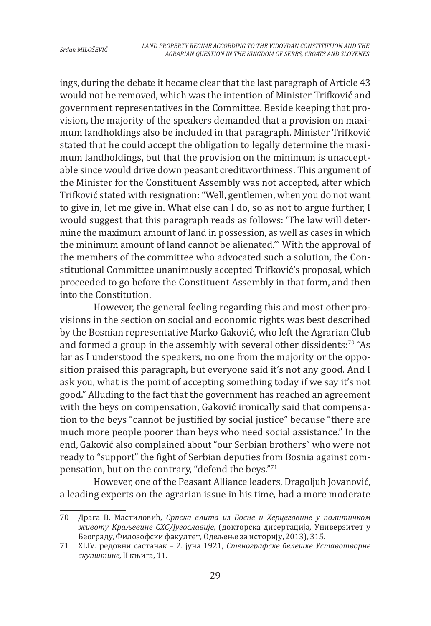ings, during the debate it became clear that the last paragraph of Article 43 would not be removed, which was the intention of Minister Trifković and government representatives in the Committee. Beside keeping that provision, the majority of the speakers demanded that a provision on maximum landholdings also be included in that paragraph. Minister Trifković stated that he could accept the obligation to legally determine the maximum landholdings, but that the provision on the minimum is unacceptable since would drive down peasant creditworthiness. This argument of the Minister for the Constituent Assembly was not accepted, after which Trifković stated with resignation: "Well, gentlemen, when you do not want to give in, let me give in. What else can I do, so as not to argue further, I would suggest that this paragraph reads as follows: 'The law will determine the maximum amount of land in possession, as well as cases in which the minimum amount of land cannot be alienated.'" With the approval of the members of the committee who advocated such a solution, the Constitutional Committee unanimously accepted Trifković's proposal, which proceeded to go before the Constituent Assembly in that form, and then into the Constitution.

However, the general feeling regarding this and most other provisions in the section on social and economic rights was best described by the Bosnian representative Marko Gaković, who left the Agrarian Club and formed a group in the assembly with several other dissidents:<sup>70</sup> "As far as I understood the speakers, no one from the majority or the opposition praised this paragraph, but everyone said it's not any good. And I ask you, what is the point of accepting something today if we say it's not good." Alluding to the fact that the government has reached an agreement with the beys on compensation, Gaković ironically said that compensation to the beys "cannot be justified by social justice" because "there are much more people poorer than beys who need social assistance." In the end, Gaković also complained about "our Serbian brothers" who were not ready to "support" the fight of Serbian deputies from Bosnia against compensation, but on the contrary, "defend the beys."<sup>71</sup>

However, one of the Peasant Alliance leaders, Dragoljub Jovanović, a leading experts on the agrarian issue in his time, had a more moderate

<sup>70</sup> Драга В. Мастиловић, *Српска елита из Босне и Херцеговине у политичком животу Краљевине СХС/Југославије*, (докторска дисертација, Универзитет у Београду, Филозофски факултет, Одељење за историју, 2013), 315.

<sup>71</sup> XLIV. редовни састанак – 2. јуна 1921, *Стенографске белешке Уставотворне скупштине,* II књига, 11.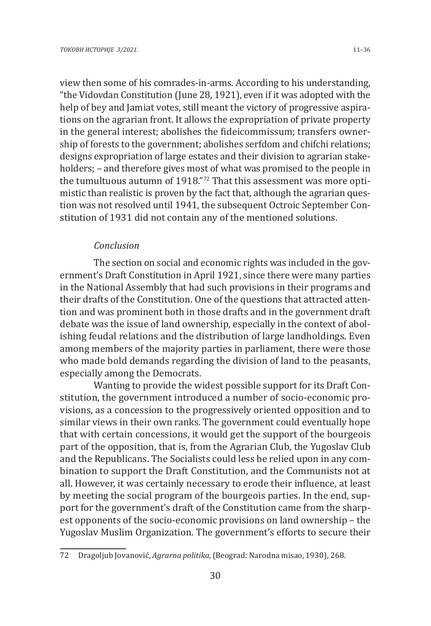view then some of his comrades-in-arms. According to his understanding, "the Vidovdan Constitution (June 28, 1921), even if it was adopted with the help of bey and Jamiat votes, still meant the victory of progressive aspirations on the agrarian front. It allows the expropriation of private property in the general interest; abolishes the fideicommissum; transfers ownership of forests to the government; abolishes serfdom and chifchi relations; designs expropriation of large estates and their division to agrarian stakeholders; – and therefore gives most of what was promised to the people in the tumultuous autumn of 1918."72 That this assessment was more optimistic than realistic is proven by the fact that, although the agrarian question was not resolved until 1941, the subsequent Octroic September Constitution of 1931 did not contain any of the mentioned solutions.

### *Conclusion*

The section on social and economic rights was included in the government's Draft Constitution in April 1921, since there were many parties in the National Assembly that had such provisions in their programs and their drafts of the Constitution. One of the questions that attracted attention and was prominent both in those drafts and in the government draft debate was the issue of land ownership, especially in the context of abolishing feudal relations and the distribution of large landholdings. Even among members of the majority parties in parliament, there were those who made bold demands regarding the division of land to the peasants, especially among the Democrats.

Wanting to provide the widest possible support for its Draft Constitution, the government introduced a number of socio-economic provisions, as a concession to the progressively oriented opposition and to similar views in their own ranks. The government could eventually hope that with certain concessions, it would get the support of the bourgeois part of the opposition, that is, from the Agrarian Club, the Yugoslav Club and the Republicans. The Socialists could less be relied upon in any combination to support the Draft Constitution, and the Communists not at all. However, it was certainly necessary to erode their influence, at least by meeting the social program of the bourgeois parties. In the end, support for the government's draft of the Constitution came from the sharpest opponents of the socio-economic provisions on land ownership – the Yugoslav Muslim Organization. The government's efforts to secure their

<sup>72</sup> Dragoljub Jovanović, *Agrarna politika*, (Beograd: Narodna misao, 1930), 268.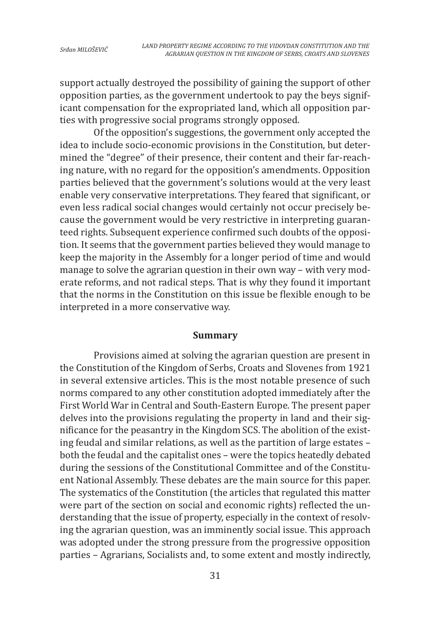support actually destroyed the possibility of gaining the support of other opposition parties, as the government undertook to pay the beys significant compensation for the expropriated land, which all opposition parties with progressive social programs strongly opposed.

Of the opposition's suggestions, the government only accepted the idea to include socio-economic provisions in the Constitution, but determined the "degree" of their presence, their content and their far-reaching nature, with no regard for the opposition's amendments. Opposition parties believed that the government's solutions would at the very least enable very conservative interpretations. They feared that significant, or even less radical social changes would certainly not occur precisely because the government would be very restrictive in interpreting guaranteed rights. Subsequent experience confirmed such doubts of the opposition. It seems that the government parties believed they would manage to keep the majority in the Assembly for a longer period of time and would manage to solve the agrarian question in their own way – with very moderate reforms, and not radical steps. That is why they found it important that the norms in the Constitution on this issue be flexible enough to be interpreted in a more conservative way.

#### **Summary**

Provisions aimed at solving the agrarian question are present in the Constitution of the Kingdom of Serbs, Croats and Slovenes from 1921 in several extensive articles. This is the most notable presence of such norms compared to any other constitution adopted immediately after the First World War in Central and South-Eastern Europe. The present paper delves into the provisions regulating the property in land and their significance for the peasantry in the Kingdom SCS. The abolition of the existing feudal and similar relations, as well as the partition of large estates – both the feudal and the capitalist ones – were the topics heatedly debated during the sessions of the Constitutional Committee and of the Constituent National Assembly. These debates are the main source for this paper. The systematics of the Constitution (the articles that regulated this matter were part of the section on social and economic rights) reflected the understanding that the issue of property, especially in the context of resolving the agrarian question, was an imminently social issue. This approach was adopted under the strong pressure from the progressive opposition parties – Agrarians, Socialists and, to some extent and mostly indirectly,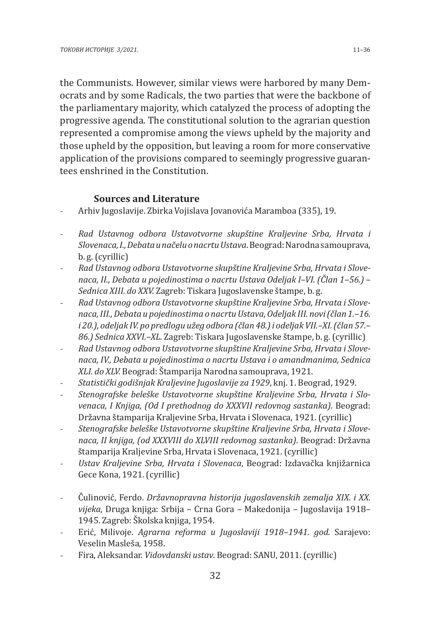the Communists. However, similar views were harbored by many Democrats and by some Radicals, the two parties that were the backbone of the parliamentary majority, which catalyzed the process of adopting the progressive agenda. The constitutional solution to the agrarian question represented a compromise among the views upheld by the majority and those upheld by the opposition, but leaving a room for more conservative application of the provisions compared to seemingly progressive guarantees enshrined in the Constitution.

### **Sources and Literature**

- Arhiv Jugoslavije. Zbirka Vojislava Jovanovića Maramboa (335), 19.
- *Rad Ustavnog odbora Ustavotvorne skupštine Kraljevine Srba, Hrvata i Slovenaca, I., Debata u načelu o nacrtu Ustava*. Beograd: Narodna samouprava, b. g. (cyrillic)
- *Rad Ustavnog odbora Ustavotvorne skupštine Kraljevine Srba, Hrvata i Slovenaca, II., Debata u pojedinostima o nacrtu Ustava Odeljak I–VI. (Član 1–56.) – Sednica XIII. do XXV.* Zagreb: Tiskara Jugoslavenske štampe, b. g.
- *Rad Ustavnog odbora Ustavotvorne skupštine Kraljevine Srba, Hrvata i Slovenaca, III., Debata u pojedinostima o nacrtu Ustava*, *Odeljak III. novi (član 1.–16. i 20.), odeljak IV. po predlogu užeg odbora (član 48.) i odeljak VII.–XI. (član 57.– 86.) Sednica XXVI.–XL.* Zagreb: Tiskara Jugoslavenske štampe, b. g. (cyrillic)
- *Rad Ustavnog odbora Ustavotvorne skupštine Kraljevine Srba, Hrvata i Slovenaca, IV., Debata u pojedinostima o nacrtu Ustava i o amandmanima, Sednica XLI. do XLV.* Beograd: Štamparija Narodna samouprava, 1921.
- *Statistički godišnjak Kraljevine Jugoslavije za 1929*, knj. 1. Beograd, 1929.
- *Stenografske beleške Ustavotvorne skupštine Kraljevine Srba, Hrvata i Slovenaca, I Knjiga, (Od I prethodnog do XXXVII redovnog sastanka)*. Beograd: Državna štamparija Kraljevine Srba, Hrvata i Slovenaca, 1921. (cyrillic)
- *Stenografske beleške Ustavotvorne skupštine Kraljevine Srba, Hrvata i Slovenaca, II knjiga, (od XXXVIII do XLVIII redovnog sastanka)*. Beograd: Državna štamparija Kraljevine Srba, Hrvata i Slovenaca, 1921. (cyrillic)
- *Ustav Kraljevine Srba, Hrvata i Slovenaca*, Beograd: Izdavačka knjižarnica Gece Kona, 1921. (cyrillic)
- Čulinović, Ferdo. *Državnopravna historija jugoslavenskih zemalja XIX. i XX. vijeka,* Druga knjiga: Srbija – Crna Gora – Makedonija – Jugoslavija 1918– 1945. Zagreb: Školska knjiga, 1954.
- Erić, Milivoje. *Agrarna reforma u Jugoslaviji 1918–1941. god.* Sarajevo: Veselin Masleša, 1958.
- Fira, Aleksandar. *Vidovdanski ustav*. Beograd: SANU, 2011. (cyrillic)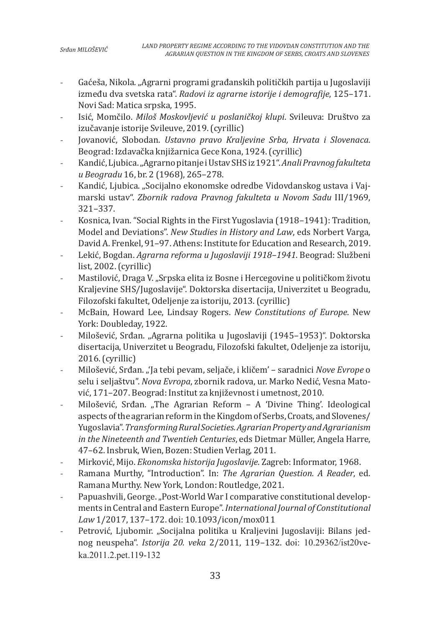- Gaćeša, Nikola. "Agrarni programi građanskih političkih partija u Jugoslaviji između dva svetska rata". *Radovi iz agrarne istorije i demografije*, 125–171. Novi Sad: Matica srpska, 1995.
- Isić, Momčilo. *Miloš Moskovljević u poslaničkoj klupi*. Svileuva: Društvo za izučavanje istorije Svileuve, 2019. (cyrillic)
- Jovanović, Slobodan. *Ustavno pravo Kraljevine Srba, Hrvata i Slovenaca*. Beograd: Izdavačka knjižarnica Gece Kona, 1924. (cyrillic)
- Kandić, Ljubica. "Agrarno pitanje i Ustav SHS iz 1921". *Anali Pravnog fakulteta u Beogradu* 16, br. 2 (1968), 265–278.
- Kandić, Ljubica. "Socijalno ekonomske odredbe Vidovdanskog ustava i Vajmarski ustav". *Zbornik radova Pravnog fakulteta u Novom Sadu* III/1969, 321–337.
- Kosnica, Ivan. "Social Rights in the First Yugoslavia (1918–1941): Tradition, Model and Deviations". *New Studies in History and Law*, eds Norbert Varga, David A. Frenkel, 91–97. Athens: Institute for Education and Research, 2019.
- Lekić, Bogdan. *Agrarna reforma u Jugoslaviji 1918–1941*. Beograd: Službeni list, 2002. (cyrillic)
- Mastilović, Draga V. "Srpska elita iz Bosne i Hercegovine u političkom životu Kraljevine SHS/Jugoslavije". Doktorska disertacija, Univerzitet u Beogradu, Filozofski fakultet, Odeljenje za istoriju, 2013. (cyrillic)
- McBain, Howard Lee, Lindsay Rogers. *New Constitutions of Europe*. New York: Doubleday, 1922.
- Milošević, Srđan. "Agrarna politika u Jugoslaviji (1945–1953)". Doktorska disertacija, Univerzitet u Beogradu, Filozofski fakultet, Odeljenje za istoriju, 2016. (cyrillic)
- Milošević, Srđan. "'Ja tebi pevam, seljače, i kličem' saradnici *Nove Evrope* o selu i seljaštvu". *Nova Evropa*, zbornik radova, ur. Marko Nedić, Vesna Matović, 171–207. Beograd: Institut za književnost i umetnost, 2010.
- Milošević, Srđan. "The Agrarian Reform A 'Divine Thing'. Ideological aspects of the agrarian reform in the Kingdom of Serbs, Croats, and Slovenes/ Yugoslavia". *Transforming Rural Societies. Agrarian Property and Agrarianism in the Nineteenth and Twentieh Centuries*, eds Dietmar Müller, Angela Harre, 47–62. Insbruk, Wien, Bozen: Studien Verlag, 2011.
- Mirković, Mijo. *Ekonomska historija Jugoslavije*. Zagreb: Informator, 1968.
- Ramana Murthy, "Introduction". In: *The Agrarian Question. A Reader*, ed. Ramana Murthy. New York, London: Routledge, 2021.
- Papuashvili, George. "Post-World War I comparative constitutional developments in Central and Eastern Europe". *International Journal of Constitutional Law* 1/2017, 137–172. doi: 10.1093/icon/mox011
- Petrović, Ljubomir. "Socijalna politika u Kraljevini Jugoslaviji: Bilans jednog neuspeha". *Istorija 20. veka* 2/2011, 119–132. doi: 10.29362/ist20veka.2011.2.pet.119-132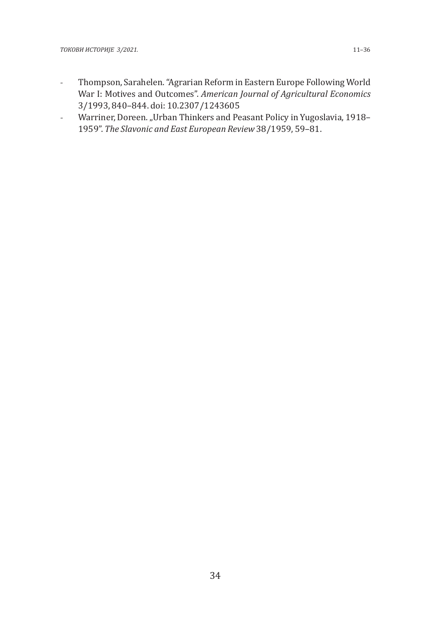- Thompson, Sarahelen. "Agrarian Reform in Eastern Europe Following World War I: Motives and Outcomes". *American Journal of Agricultural Economics* 3/1993, 840–844. doi: 10.2307/1243605
- Warriner, Doreen. "Urban Thinkers and Peasant Policy in Yugoslavia, 1918-1959". *The Slavonic and East European Review* 38/1959, 59–81.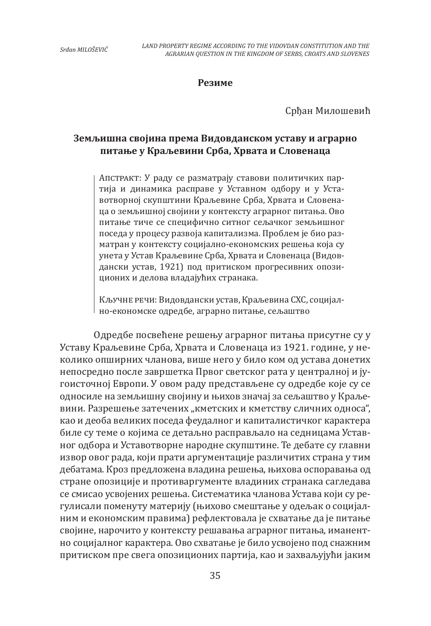#### **Резиме**

Срђан Милошевић

# **Земљишна својина према Видовданском уставу и аграрно питање у Краљевини Срба, Хрвата и Словенаца**

Апстракт: У раду се разматрају ставови политичких партија и динамика расправе у Уставном одбору и у Уставотворној скупштини Краљевине Срба, Хрвата и Словенаца о земљишној својини у контексту аграрног питања. Ово питање тиче се специфично ситног сељачког земљишног поседа у процесу развоја капитализма. Проблем је био разматран у контексту социјално-економских решења која су унета у Устав Краљевине Срба, Хрвата и Словенаца (Видовдански устав, 1921) под притиском прогресивних опозиционих и делова владајућих странака.

Кључне речи: Видовдански устав, Краљевина СХС, социјално-економске одредбе, аграрно питање, сељаштво

Одредбе посвећене решењу аграрног питања присутне су у Уставу Краљевине Срба, Хрвата и Словенаца из 1921. године, у неколико опширних чланова, више него у било ком од устава донетих непосредно после завршетка Првог светског рата у централној и југоисточној Европи. У овом раду представљене су одредбе које су се односиле на земљишну својину и њихов значај за сељаштво у Краљевини. Разрешење затечених "кметских и кметству сличних односа", као и деоба великих поседа феудалног и капиталистичког карактера биле су теме о којима се детаљно расправљало на седницама Уставног одбора и Уставотворне народне скупштине. Те дебате су главни извор овог рада, који прати аргументације различитих страна у тим дебатама. Кроз предложена владина решења, њихова оспоравања од стране опозиције и противаргументе владиних странака сагледава се смисао усвојених решења. Систематика чланова Устава који су регулисали поменуту материју (њихово смештање у одељак о социјалним и економским правима) рефлектовала је схватање да је питање својине, нарочито у контексту решавања аграрног питања, иманентно социјалног карактера. Ово схватање је било усвојено под снажним притиском пре свега опозиционих партија, као и захваљујући јаким